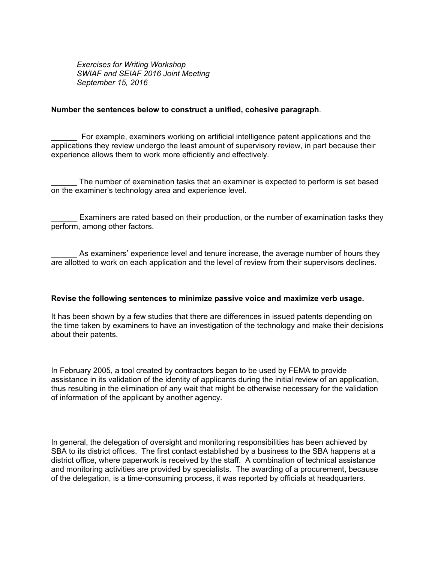*Exercises for Writing Workshop SWIAF and SEIAF 2016 Joint Meeting September 15, 2016*

## **Number the sentences below to construct a unified, cohesive paragraph**.

\_\_\_\_\_\_ For example, examiners working on artificial intelligence patent applications and the applications they review undergo the least amount of supervisory review, in part because their experience allows them to work more efficiently and effectively.

The number of examination tasks that an examiner is expected to perform is set based on the examiner's technology area and experience level.

Examiners are rated based on their production, or the number of examination tasks they perform, among other factors.

As examiners' experience level and tenure increase, the average number of hours they are allotted to work on each application and the level of review from their supervisors declines.

## **Revise the following sentences to minimize passive voice and maximize verb usage.**

It has been shown by a few studies that there are differences in issued patents depending on the time taken by examiners to have an investigation of the technology and make their decisions about their patents.

In February 2005, a tool created by contractors began to be used by FEMA to provide assistance in its validation of the identity of applicants during the initial review of an application, thus resulting in the elimination of any wait that might be otherwise necessary for the validation of information of the applicant by another agency.

In general, the delegation of oversight and monitoring responsibilities has been achieved by SBA to its district offices. The first contact established by a business to the SBA happens at a district office, where paperwork is received by the staff. A combination of technical assistance and monitoring activities are provided by specialists. The awarding of a procurement, because of the delegation, is a time-consuming process, it was reported by officials at headquarters.